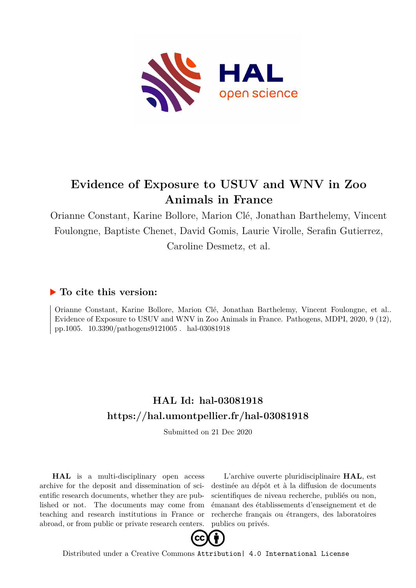

# **Evidence of Exposure to USUV and WNV in Zoo Animals in France**

Orianne Constant, Karine Bollore, Marion Clé, Jonathan Barthelemy, Vincent Foulongne, Baptiste Chenet, David Gomis, Laurie Virolle, Serafin Gutierrez, Caroline Desmetz, et al.

## **To cite this version:**

Orianne Constant, Karine Bollore, Marion Clé, Jonathan Barthelemy, Vincent Foulongne, et al.. Evidence of Exposure to USUV and WNV in Zoo Animals in France. Pathogens, MDPI, 2020, 9 (12), pp.1005.  $10.3390$ /pathogens $9121005$ . hal-03081918

# **HAL Id: hal-03081918 <https://hal.umontpellier.fr/hal-03081918>**

Submitted on 21 Dec 2020

**HAL** is a multi-disciplinary open access archive for the deposit and dissemination of scientific research documents, whether they are published or not. The documents may come from teaching and research institutions in France or abroad, or from public or private research centers.

L'archive ouverte pluridisciplinaire **HAL**, est destinée au dépôt et à la diffusion de documents scientifiques de niveau recherche, publiés ou non, émanant des établissements d'enseignement et de recherche français ou étrangers, des laboratoires publics ou privés.



Distributed under a Creative Commons [Attribution| 4.0 International License](http://creativecommons.org/licenses/by/4.0/)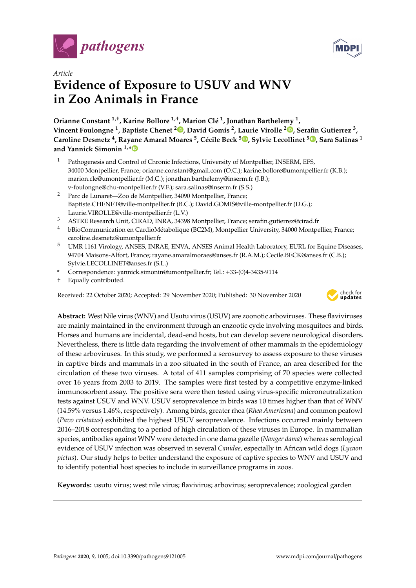



## *Article* **Evidence of Exposure to USUV and WNV in Zoo Animals in France**

**Orianne Constant 1,**† **, Karine Bollore 1,**† **, Marion Clé 1 , Jonathan Barthelemy <sup>1</sup> , Vincent Foulongne <sup>1</sup> , Baptiste Chenet <sup>2</sup> [,](https://orcid.org/0000-0002-3128-0143) David Gomis <sup>2</sup> , Laurie Virolle <sup>2</sup> [,](https://orcid.org/0000-0002-8001-7616) Serafin Gutierrez <sup>3</sup> , Caroline Desmetz <sup>4</sup> , Rayane Amaral Moares <sup>5</sup> , Cécile Beck <sup>5</sup> [,](https://orcid.org/0000-0002-9053-1416) Sylvie Lecollinet <sup>5</sup> [,](https://orcid.org/0000-0001-8535-2133) Sara Salinas <sup>1</sup> and Yannick Simonin 1,[\\*](https://orcid.org/0000-0002-3475-1369)**

- <sup>1</sup> Pathogenesis and Control of Chronic Infections, University of Montpellier, INSERM, EFS, 34000 Montpellier, France; orianne.constant@gmail.com (O.C.); karine.bollore@umontpellier.fr (K.B.); marion.cle@umontpellier.fr (M.C.); jonathan.barthelemy@inserm.fr (J.B.); v-foulongne@chu-montpellier.fr (V.F.); sara.salinas@inserm.fr (S.S.)
- <sup>2</sup> Parc de Lunaret—Zoo de Montpellier, 34090 Montpellier, France; Baptiste.CHENET@ville-montpellier.fr (B.C.); David.GOMIS@ville-montpellier.fr (D.G.); Laurie.VIROLLE@ville-montpellier.fr (L.V.)
- <sup>3</sup> ASTRE Research Unit, CIRAD, INRA, 34398 Montpellier, France; serafin.gutierrez@cirad.fr
- <sup>4</sup> bBioCommunication en CardioMétabolique (BC2M), Montpellier University, 34000 Montpellier, France; caroline.desmetz@umontpellier.fr
- <sup>5</sup> UMR 1161 Virology, ANSES, INRAE, ENVA, ANSES Animal Health Laboratory, EURL for Equine Diseases, 94704 Maisons-Alfort, France; rayane.amaralmoraes@anses.fr (R.A.M.); Cecile.BECK@anses.fr (C.B.); Sylvie.LECOLLINET@anses.fr (S.L.)
- **\*** Correspondence: yannick.simonin@umontpellier.fr; Tel.: +33-(0)4-3435-9114
- † Equally contributed.

Received: 22 October 2020; Accepted: 29 November 2020; Published: 30 November 2020



**Abstract:** West Nile virus (WNV) and Usutu virus (USUV) are zoonotic arboviruses. These flaviviruses are mainly maintained in the environment through an enzootic cycle involving mosquitoes and birds. Horses and humans are incidental, dead-end hosts, but can develop severe neurological disorders. Nevertheless, there is little data regarding the involvement of other mammals in the epidemiology of these arboviruses. In this study, we performed a serosurvey to assess exposure to these viruses in captive birds and mammals in a zoo situated in the south of France, an area described for the circulation of these two viruses. A total of 411 samples comprising of 70 species were collected over 16 years from 2003 to 2019. The samples were first tested by a competitive enzyme-linked immunosorbent assay. The positive sera were then tested using virus-specific microneutralization tests against USUV and WNV. USUV seroprevalence in birds was 10 times higher than that of WNV (14.59% versus 1.46%, respectively). Among birds, greater rhea (*Rhea Americana*) and common peafowl (*Pavo cristatus*) exhibited the highest USUV seroprevalence. Infections occurred mainly between 2016–2018 corresponding to a period of high circulation of these viruses in Europe. In mammalian species, antibodies against WNV were detected in one dama gazelle (*Nanger dama*) whereas serological evidence of USUV infection was observed in several *Canidae*, especially in African wild dogs (*Lycaon pictus*). Our study helps to better understand the exposure of captive species to WNV and USUV and to identify potential host species to include in surveillance programs in zoos.

**Keywords:** usutu virus; west nile virus; flavivirus; arbovirus; seroprevalence; zoological garden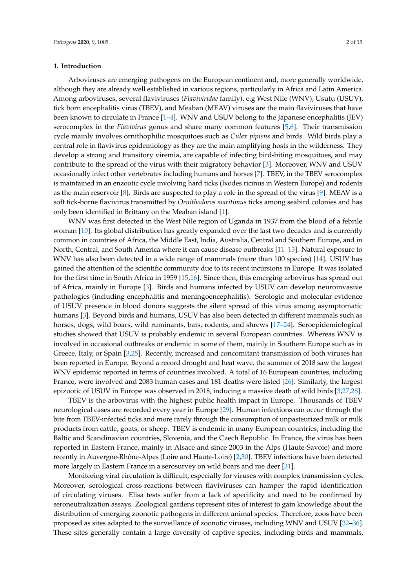#### **1. Introduction**

Arboviruses are emerging pathogens on the European continent and, more generally worldwide, although they are already well established in various regions, particularly in Africa and Latin America. Among arboviruses, several flaviviruses (*Flaviviridae* family), e.g West Nile (WNV), Usutu (USUV), tick born encephalitis virus (TBEV), and Meaban (MEAV) viruses are the main flaviviruses that have been known to circulate in France [1–4]. WNV and USUV belong to the Japanese encephalitis (JEV) serocomplex in the *Flavivirus* genus and share many common features [5,6]. Their transmission cycle mainly involves ornithophilic mosquitoes such as *Culex pipiens* and birds. Wild birds play a central role in flavivirus epidemiology as they are the main amplifying hosts in the wilderness. They develop a strong and transitory viremia, are capable of infecting bird-biting mosquitoes, and may contribute to the spread of the virus with their migratory behavior [3]. Moreover, WNV and USUV occasionally infect other vertebrates including humans and horses [7]. TBEV, in the TBEV serocomplex is maintained in an enzootic cycle involving hard ticks (Ixodes ricinus in Western Europe) and rodents as the main reservoir [8]. Birds are suspected to play a role in the spread of the virus [9]. MEAV is a soft tick-borne flavivirus transmitted by *Ornithodoros maritimus* ticks among seabird colonies and has only been identified in Brittany on the Meaban island [1].

WNV was first detected in the West Nile region of Uganda in 1937 from the blood of a febrile woman [10]. Its global distribution has greatly expanded over the last two decades and is currently common in countries of Africa, the Middle East, India, Australia, Central and Southern Europe, and in North, Central, and South America where it can cause disease outbreaks [11–13]. Natural exposure to WNV has also been detected in a wide range of mammals (more than 100 species) [14]. USUV has gained the attention of the scientific community due to its recent incursions in Europe. It was isolated for the first time in South Africa in 1959 [15,16]. Since then, this emerging arbovirus has spread out of Africa, mainly in Europe [3]. Birds and humans infected by USUV can develop neuroinvasive pathologies (including encephalitis and meningoencephalitis). Serologic and molecular evidence of USUV presence in blood donors suggests the silent spread of this virus among asymptomatic humans [3]. Beyond birds and humans, USUV has also been detected in different mammals such as horses, dogs, wild boars, wild ruminants, bats, rodents, and shrews [17–24]. Seroepidemiological studies showed that USUV is probably endemic in several European countries. Whereas WNV is involved in occasional outbreaks or endemic in some of them, mainly in Southern Europe such as in Greece, Italy, or Spain [3,25]. Recently, increased and concomitant transmission of both viruses has been reported in Europe. Beyond a record drought and heat wave, the summer of 2018 saw the largest WNV epidemic reported in terms of countries involved. A total of 16 European countries, including France, were involved and 2083 human cases and 181 deaths were listed [26]. Similarly, the largest epizootic of USUV in Europe was observed in 2018, inducing a massive death of wild birds [3,27,28].

TBEV is the arbovirus with the highest public health impact in Europe. Thousands of TBEV neurological cases are recorded every year in Europe [29]. Human infections can occur through the bite from TBEV-infected ticks and more rarely through the consumption of unpasteurized milk or milk products from cattle, goats, or sheep. TBEV is endemic in many European countries, including the Baltic and Scandinavian countries, Slovenia, and the Czech Republic. In France, the virus has been reported in Eastern France, mainly in Alsace and since 2003 in the Alps (Haute-Savoie) and more recently in Auvergne-Rhône-Alpes (Loire and Haute-Loire) [2,30]. TBEV infections have been detected more largely in Eastern France in a serosurvey on wild boars and roe deer [31].

Monitoring viral circulation is difficult, especially for viruses with complex transmission cycles. Moreover, serological cross-reactions between flaviviruses can hamper the rapid identification of circulating viruses. Elisa tests suffer from a lack of specificity and need to be confirmed by seroneutralization assays. Zoological gardens represent sites of interest to gain knowledge about the distribution of emerging zoonotic pathogens in different animal species. Therefore, zoos have been proposed as sites adapted to the surveillance of zoonotic viruses, including WNV and USUV [32–36]. These sites generally contain a large diversity of captive species, including birds and mammals,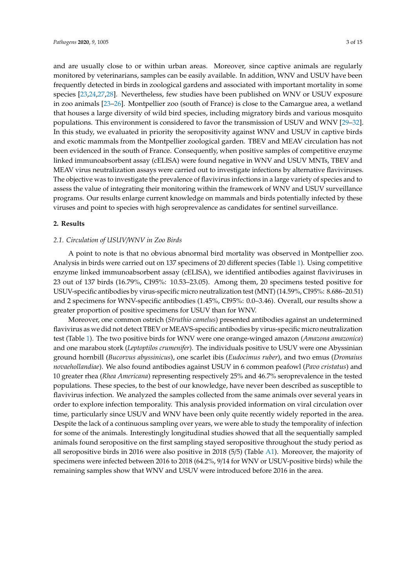and are usually close to or within urban areas. Moreover, since captive animals are regularly monitored by veterinarians, samples can be easily available. In addition, WNV and USUV have been frequently detected in birds in zoological gardens and associated with important mortality in some species [23,24,27,28]. Nevertheless, few studies have been published on WNV or USUV exposure in zoo animals [23–26]. Montpellier zoo (south of France) is close to the Camargue area, a wetland that houses a large diversity of wild bird species, including migratory birds and various mosquito populations. This environment is considered to favor the transmission of USUV and WNV [29–32]. In this study, we evaluated in priority the seropositivity against WNV and USUV in captive birds and exotic mammals from the Montpellier zoological garden. TBEV and MEAV circulation has not been evidenced in the south of France. Consequently, when positive samples of competitive enzyme linked immunoabsorbent assay (cELISA) were found negative in WNV and USUV MNTs, TBEV and MEAV virus neutralization assays were carried out to investigate infections by alternative flaviviruses. The objective was to investigate the prevalence of flavivirus infections in a large variety of species and to assess the value of integrating their monitoring within the framework of WNV and USUV surveillance programs. Our results enlarge current knowledge on mammals and birds potentially infected by these viruses and point to species with high seroprevalence as candidates for sentinel surveillance.

#### **2. Results**

#### *2.1. Circulation of USUV*/*WNV in Zoo Birds*

A point to note is that no obvious abnormal bird mortality was observed in Montpellier zoo. Analysis in birds were carried out on 137 specimens of 20 different species (Table 1). Using competitive enzyme linked immunoabsorbent assay (cELISA), we identified antibodies against flaviviruses in 23 out of 137 birds (16.79%, CI95%: 10.53–23.05). Among them, 20 specimens tested positive for USUV-specific antibodies by virus-specific micro neutralization test (MNT) (14.59%, CI95%: 8.686–20.51) and 2 specimens for WNV-specific antibodies (1.45%, CI95%: 0.0–3.46). Overall, our results show a greater proportion of positive specimens for USUV than for WNV.

Moreover, one common ostrich (*Struthio camelus*) presented antibodies against an undetermined flavivirus as we did not detect TBEV or MEAVS-specific antibodies by virus-specific micro neutralization test (Table 1). The two positive birds for WNV were one orange-winged amazon (*Amazona amazonica*) and one marabou stork (*Leptoptilos crumenifer*). The individuals positive to USUV were one Abyssinian ground hornbill (*Bucorvus abyssinicus*), one scarlet ibis (*Eudocimus ruber*), and two emus (*Dromaius novaehollandiae*). We also found antibodies against USUV in 6 common peafowl (*Pavo cristatus*) and 10 greater rhea (*Rhea Americana*) representing respectively 25% and 46.7% seroprevalence in the tested populations. These species, to the best of our knowledge, have never been described as susceptible to flavivirus infection. We analyzed the samples collected from the same animals over several years in order to explore infection temporality. This analysis provided information on viral circulation over time, particularly since USUV and WNV have been only quite recently widely reported in the area. Despite the lack of a continuous sampling over years, we were able to study the temporality of infection for some of the animals. Interestingly longitudinal studies showed that all the sequentially sampled animals found seropositive on the first sampling stayed seropositive throughout the study period as all seropositive birds in 2016 were also positive in 2018 (5/5) (Table A1). Moreover, the majority of specimens were infected between 2016 to 2018 (64.2%, 9/14 for WNV or USUV-positive birds) while the remaining samples show that WNV and USUV were introduced before 2016 in the area.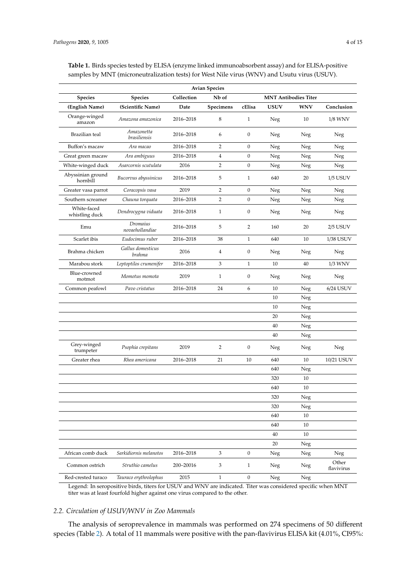| <b>Avian Species</b>          |                             |            |                |                             |             |                |                     |
|-------------------------------|-----------------------------|------------|----------------|-----------------------------|-------------|----------------|---------------------|
| Species                       | <b>Species</b>              | Collection | Nb of          | <b>MNT Antibodies Titer</b> |             |                |                     |
| (English Name)                | (Scientific Name)           | Date       | Specimens      | cElisa                      | <b>USUV</b> | <b>WNV</b>     | Conclusion          |
| Orange-winged<br>amazon       | Amazona amazonica           | 2016-2018  | 8              | $\mathbf{1}$                | Neg         | 10             | $1/8$ WNV $\,$      |
| Brazilian teal                | Amazonetta<br>brasiliensis  | 2016-2018  | 6              | $\mathbf{0}$                | Neg         | Neg            | Neg                 |
| Buffon's macaw                | Ara macao                   | 2016-2018  | 2              | $\boldsymbol{0}$            | Neg         | Neg            | Neg                 |
| Great green macaw             | Ara ambiguus                | 2016-2018  | $\overline{4}$ | $\boldsymbol{0}$            | Neg         | Neg            | Neg                 |
| White-winged duck             | Asarcornis scutulata        | 2016       | 2              | $\boldsymbol{0}$            | Neg         | Neg            | Neg                 |
| Abyssinian ground<br>hornbill | Bucorvus abyssinicus        | 2016-2018  | 5              | 1                           | 640         | 20             | $1/5$ USUV          |
| Greater vasa parrot           | Coracopsis vasa             | 2019       | $\overline{2}$ | $\mathbf{0}$                | Neg         | Neg            | Neg                 |
| Southern screamer             | Chauna torquata             | 2016-2018  | $\overline{2}$ | $\boldsymbol{0}$            | Neg         | Neg            | Neg                 |
| White-faced<br>whistling duck | Dendrocygna viduata         | 2016-2018  | $\mathbf{1}$   | $\boldsymbol{0}$            | Neg         | Neg            | Neg                 |
| Emu                           | Dromaius<br>novaehollandiae | 2016-2018  | 5              | 2                           | 160         | 20             | $2/5$ USUV          |
| Scarlet ibis                  | Eudocimus ruber             | 2016-2018  | 38             | $\mathbf{1}$                | 640         | 10             | 1/38 USUV           |
| Brahma chicken                | Gallus domesticus<br>brahma | 2016       | $\overline{4}$ | $\boldsymbol{0}$            | Neg         | Neg            | Neg                 |
| Marabou stork                 | Leptoptilos crumenifer      | 2016-2018  | 3              | $\mathbf{1}$                | 10          | 40             | 1/3 WNV             |
| Blue-crowned<br>motmot        | Momotus momota              | 2019       | $\mathbf{1}$   | $\boldsymbol{0}$            | Neg         | Neg            | Neg                 |
| Common peafowl                | Pavo cristatus              | 2016-2018  | 24             | 6                           | 10          | Neg            | $6/24$ USUV         |
|                               |                             |            |                |                             | 10          | Neg            |                     |
|                               |                             |            |                |                             | 10          | Neg            |                     |
|                               |                             |            |                |                             | 20          | Neg            |                     |
|                               |                             |            |                |                             | 40          | Neg            |                     |
|                               |                             |            |                |                             | 40          | Neg            |                     |
| Grey-winged<br>trumpeter      | Psophia crepitans           | 2019       | 2              | $\boldsymbol{0}$            | Neg         | Neg            | Neg                 |
| Greater rhea                  | Rhea americana              | 2016-2018  | 21             | 10                          | 640         | 10             | 10/21 USUV          |
|                               |                             |            |                |                             | 640         | Neg            |                     |
|                               |                             |            |                |                             | 320         | 10             |                     |
|                               |                             |            |                |                             | 640         | 10             |                     |
|                               |                             |            |                |                             | 320         | ${\hbox{Neg}}$ |                     |
|                               |                             |            |                |                             | 320         | Neg            |                     |
|                               |                             |            |                |                             | 640         | 10             |                     |
|                               |                             |            |                |                             | 640         | $10\,$         |                     |
|                               |                             |            |                |                             | 40          | 10             |                     |
|                               |                             |            |                |                             | 20          | Neg            |                     |
| African comb duck             | Sarkidiornis melanotos      | 2016-2018  | 3              | $\boldsymbol{0}$            | Neg         | Neg            | Neg                 |
| Common ostrich                | Struthio camelus            | 200-20016  | 3              | $\mathbf{1}$                | Neg         | Neg            | Other<br>flavivirus |
| Red-crested turaco            | Tauraco erythrolophus       | 2015       | $\mathbf{1}$   | $\boldsymbol{0}$            | Neg         | Neg            |                     |

**Table 1.** Birds species tested by ELISA (enzyme linked immunoabsorbent assay) and for ELISA-positive samples by MNT (microneutralization tests) for West Nile virus (WNV) and Usutu virus (USUV).

Legend: In seropositive birds, titers for USUV and WNV are indicated. Titer was considered specific when MNT titer was at least fourfold higher against one virus compared to the other.

#### *2.2. Circulation of USUV*/*WNV in Zoo Mammals*

The analysis of seroprevalence in mammals was performed on 274 specimens of 50 different species (Table 2). A total of 11 mammals were positive with the pan-flavivirus ELISA kit (4.01%, CI95%: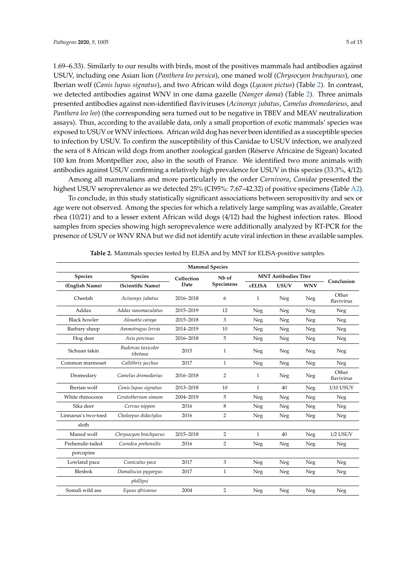1.69–6.33). Similarly to our results with birds, most of the positives mammals had antibodies against USUV, including one Asian lion (*Panthera leo persica*), one maned wolf (*Chrysocyon brachyurus*), one Iberian wolf (*Canis lupus signatus*), and two African wild dogs (*Lycaon pictus*) (Table 2). In contrast, we detected antibodies against WNV in one dama gazelle (*Nanger dama*) (Table 2). Three animals presented antibodies against non-identified flaviviruses (*Acinonyx jubatus*, *Camelus dromedarieus*, and *Panthera leo leo*) (the corresponding sera turned out to be negative in TBEV and MEAV neutralization assays). Thus, according to the available data, only a small proportion of exotic mammals' species was exposed to USUV or WNV infections. African wild dog has never been identified as a susceptible species to infection by USUV. To confirm the susceptibility of this Canidae to USUV infection, we analyzed the sera of 8 African wild dogs from another zoological garden (Réserve Africaine de Sigean) located 100 km from Montpellier zoo, also in the south of France. We identified two more animals with antibodies against USUV confirming a relatively high prevalence for USUV in this species (33.3%, 4/12).

Among all mammalians and more particularly in the order *Carnivora*, *Canidae* presented the highest USUV seroprevalence as we detected 25% (CI95%: 7.67–42.32) of positive specimens (Table A2).

To conclude, in this study statistically significant associations between seropositivity and sex or age were not observed. Among the species for which a relatively large sampling was available, Greater rhea (10/21) and to a lesser extent African wild dogs (4/12) had the highest infection rates. Blood samples from species showing high seroprevalence were additionally analyzed by RT-PCR for the presence of USUV or WNV RNA but we did not identify acute viral infection in these available samples.

| <b>Mammal Species</b> |                                |                    |                                |                             |             |            |                     |
|-----------------------|--------------------------------|--------------------|--------------------------------|-----------------------------|-------------|------------|---------------------|
| <b>Species</b>        | <b>Species</b>                 | Collection<br>Date | N <sub>b</sub> of<br>Specimens | <b>MNT Antibodies Titer</b> |             |            |                     |
| (English Name)        | (Scientific Name)              |                    |                                | <b>cELISA</b>               | <b>USUV</b> | <b>WNV</b> | Conclusion          |
| Cheetah               | Acinonyx jubatus               | 2016-2018          | 6                              | $\mathbf{1}$                | ${\rm Neg}$ | Neg        | Other<br>flavivirus |
| Addax                 | Addax nasomaculatus            | 2015-2019          | 12                             | ${\hbox{Neg}}$              | Neg         | Neg        | Neg                 |
| Black howler          | Alouatta caraya                | 2015-2018          | 3                              | Neg                         | Neg         | Neg        | Neg                 |
| Barbary sheep         | Ammotragus lervia              | 2014-2019          | 10                             | Neg                         | Neg         | Neg        | Neg                 |
| Hog deer              | Axis porcinus                  | 2016-2018          | 5                              | Neg                         | Neg         | Neg        | Neg                 |
| Sichuan takin         | Budorcas taxicolor<br>tibetana | 2015               | $\mathbf{1}$                   | Neg                         | Neg         | Neg        | Neg                 |
| Common marmoset       | Callithrix jacchus             | 2017               | $\mathbf{1}$                   | Neg                         | Neg         | Neg        | Neg                 |
| Dromedary             | Camelus dromedarius            | 2016-2018          | $\overline{2}$                 | 1                           | Neg         | Neg        | Other<br>flavivirus |
| Iberian wolf          | Canis lupus signatus           | 2013-2018          | 10                             | $\mathbf{1}$                | 40          | Neg        | 1/10 USUV           |
| White rhinoceros      | Ceratotherium simum            | 2004-2019          | 5                              | Neg                         | Neg         | Neg        | Neg                 |
| Sika deer             | Cervus nippon                  | 2016               | 8                              | Neg                         | Neg         | Neg        | Neg                 |
| Linnaeus's two-toed   | Choloepus didactylus           | 2016               | $\overline{2}$                 | Neg                         | Neg         | Neg        | Neg                 |
| sloth                 |                                |                    |                                |                             |             |            |                     |
| Maned wolf            | Chrysocyon brachyurus          | 2015-2018          | 2                              | 1                           | 40          | Neg        | $1/2$ USUV          |
| Prehensile-tailed     | Coendou prehensilis            | 2016               | $\overline{2}$                 | Neg                         | Neg         | Neg        | Neg                 |
| porcupine             |                                |                    |                                |                             |             |            |                     |
| Lowland paca          | Cuniculus paca                 | 2017               | 3                              | Neg                         | Neg         | Neg        | Neg                 |
| Blesbok               | Damaliscus pygargus            | 2017               | 1                              | Neg                         | Neg         | Neg        | Neg                 |
|                       | phillipsi                      |                    |                                |                             |             |            |                     |
| Somali wild ass       | Equus africanus                | 2004               | $\overline{2}$                 | Neg                         | Neg         | Neg        | Neg                 |

**Table 2.** Mammals species tested by ELISA and by MNT for ELISA-positive samples.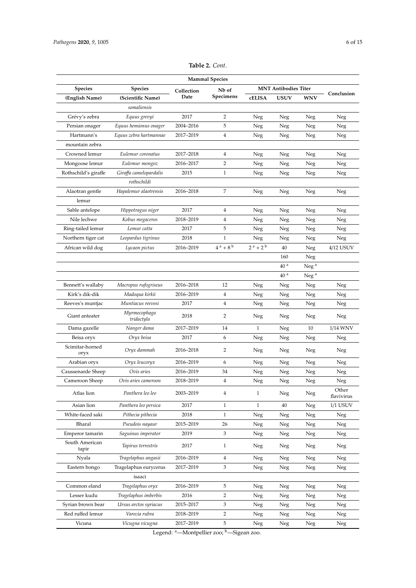| <b>Mammal Species</b>   |                            |            |                         |                                         |                 |                  |                     |
|-------------------------|----------------------------|------------|-------------------------|-----------------------------------------|-----------------|------------------|---------------------|
| <b>Species</b>          | <b>Species</b>             | Collection | Nb of                   | <b>MNT Antibodies Titer</b>             |                 |                  |                     |
| (English Name)          | (Scientific Name)          | Date       | Specimens               | cELISA                                  | <b>USUV</b>     | <b>WNV</b>       | Conclusion          |
|                         | somaliensis                |            |                         |                                         |                 |                  |                     |
| Grévy's zebra           | Equus grevyi               | 2017       | 2                       | Neg                                     | Neg             | Neg              | Neg                 |
| Persian onager          | Equus hemionus onager      | 2004-2016  | 5                       | Neg                                     | Neg             | Neg              | Neg                 |
| Hartmann's              | Equus zebra hartmannae     | 2017-2019  | 4                       | Neg                                     | Neg             | Neg              | Neg                 |
| mountain zebra          |                            |            |                         |                                         |                 |                  |                     |
| Crowned lemur           | Eulemur coronatus          | 2017-2018  | 4                       | Neg                                     | Neg             | Neg              | Neg                 |
| Mongoose lemur          | Eulemur mongoz             | 2016-2017  | $\overline{2}$          | Neg                                     | Neg             | Neg              | Neg                 |
| Rothschild's giraffe    | Giraffa camelopardalis     | 2015       | $\mathbf{1}$            | Neg                                     | Neg             | Neg              | Neg                 |
|                         | rothschildi                |            |                         |                                         |                 |                  |                     |
| Alaotran gentle         | Hapalemur alaotrensis      | 2016-2018  | 7                       | Neg                                     | Neg             | Neg              | Neg                 |
| lemur                   |                            |            |                         |                                         |                 |                  |                     |
| Sable antelope          | Hippotragus niger          | 2017       | 4                       | Neg                                     | Neg             | Neg              | Neg                 |
| Nile lechwe             | Kobus megaceros            | 2018-2019  | $\overline{4}$          | Neg                                     | Neg             | Neg              | Neg                 |
| Ring-tailed lemur       | Lemur catta                | 2017       | 5                       | Neg                                     | Neg             | Neg              | Neg                 |
| Northern tiger cat      | Leopardus tigrinus         | 2018       | 1                       | Neg                                     | Neg             | Neg              | Neg                 |
| African wild dog        | Lycaon pictus              | 2016-2019  | $4^a + 8^b$             | $2^{\,\mathrm{a}}$ + $2^{\,\mathrm{b}}$ | 40              | Neg              | 4/12 USUV           |
|                         |                            |            |                         |                                         | 160             | Neg              |                     |
|                         |                            |            |                         |                                         | 40 <sup>a</sup> | Neg <sup>a</sup> |                     |
|                         |                            |            |                         |                                         | 40 <sup>a</sup> | Neg <sup>a</sup> |                     |
| Bennett's wallaby       | Macropus rufogriseus       | 2016-2018  | 12                      | Neg                                     | Neg             | Neg              | Neg                 |
| Kirk's dik-dik          | Madoqua kirkii             | 2016-2019  | 4                       | Neg                                     | Neg             | Neg              | Neg                 |
| Reeves's muntjac        | Muntiacus reevesi          | 2017       | $\overline{4}$          | Neg                                     | Neg             | Neg              | Neg                 |
| Giant anteater          | Myrmecophaga<br>tridactyla | 2018       | 2                       | Neg                                     | Neg             | Neg              | Neg                 |
| Dama gazelle            | Nanger dama                | 2017-2019  | 14                      | $\mathbf{1}$                            | Neg             | 10               | 1/14 WNV            |
| Beisa oryx              | Oryx beisa                 | 2017       | 6                       | Neg                                     | Neg             | Neg              | Neg                 |
| Scimitar-horned<br>oryx | Oryx dammah                | 2016-2018  | 2                       | Neg                                     | Neg             | Neg              | Neg                 |
| Arabian oryx            | Oryx leucoryx              | 2016-2019  | 6                       | Neg                                     | Neg             | Neg              | Neg                 |
| Caussenarde Sheep       | Ovis aries                 | 2016-2019  | 34                      | Neg                                     | Neg             | Neg              | Neg                 |
| Cameroon Sheep          | Ovis aries cameroon        | 2018-2019  | $\overline{4}$          | Neg                                     | Neg             | Neg              | Neg                 |
| Atlas lion              | Panthera leo leo           | 2003-2019  | $\overline{4}$          | $\mathbf{1}$                            | Neg             | Neg              | Other<br>flavivirus |
| Asian lion              | Panthera leo persica       | 2017       | $\mathbf{1}$            | $\mathbf{1}$                            | 40              | Neg              | $1/1$ USUV          |
| White-faced saki        | Pithecia pithecia          | 2018       | $\mathbf{1}$            | Neg                                     | Neg             | Neg              | Neg                 |
| Bharal                  | Pseudois nayaur            | 2015-2019  | 26                      | Neg                                     | Neg             | Neg              | Neg                 |
| Emperor tamarin         | Saguinus imperator         | 2019       | 3                       | Neg                                     | Neg             | Neg              | Neg                 |
| South American<br>tapir | Tapirus terrestris         | 2017       | $\mathbf{1}$            | Neg                                     | Neg             | Neg              | Neg                 |
| Nyala                   | Tragelaphus angasii        | 2016-2019  | $\overline{\mathbf{4}}$ | Neg                                     | Neg             | Neg              | Neg                 |
| Eastern bongo           | Tragelaphus eurycerus      | 2017-2019  | 3                       | Neg                                     | Neg             | Neg              | Neg                 |
|                         | isaaci                     |            |                         |                                         |                 |                  |                     |
| Common eland            | Tragelaphus oryx           | 2016-2019  | 5                       | Neg                                     | Neg             | Neg              | Neg                 |
| Lesser kudu             | Tragelaphus imberbis       | 2016       | $\overline{2}$          | Neg                                     | Neg             | Neg              | Neg                 |
| Syrian brown bear       | Ursus arctos syriacus      | 2015-2017  | 3                       | Neg                                     | Neg             | Neg              | Neg                 |
| Red ruffed lemur        | Varecia rubra              | 2018-2019  | $\overline{2}$          | Neg                                     | Neg             | Neg              | Neg                 |
| Vicuna                  | Vicugna vicugna            | 2017-2019  | 5                       | Neg                                     | Neg             | Neg              | Neg                 |

**Table 2.** *Cont*.

Legend: <sup>a</sup>—Montpellier zoo; <sup>b</sup>—Sigean zoo.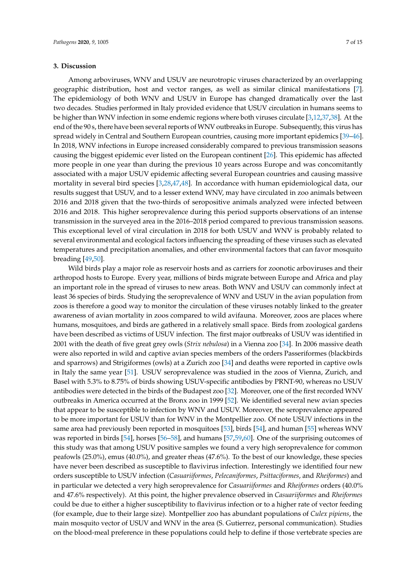#### **3. Discussion**

Among arboviruses, WNV and USUV are neurotropic viruses characterized by an overlapping geographic distribution, host and vector ranges, as well as similar clinical manifestations [7]. The epidemiology of both WNV and USUV in Europe has changed dramatically over the last two decades. Studies performed in Italy provided evidence that USUV circulation in humans seems to be higher than WNV infection in some endemic regions where both viruses circulate [3,12,37,38]. At the end of the 90 s, there have been several reports of WNV outbreaks in Europe. Subsequently, this virus has spread widely in Central and Southern European countries, causing more important epidemics [39–46]. In 2018, WNV infections in Europe increased considerably compared to previous transmission seasons causing the biggest epidemic ever listed on the European continent [26]. This epidemic has affected more people in one year than during the previous 10 years across Europe and was concomitantly associated with a major USUV epidemic affecting several European countries and causing massive mortality in several bird species [3,28,47,48]. In accordance with human epidemiological data, our results suggest that USUV, and to a lesser extend WNV, may have circulated in zoo animals between 2016 and 2018 given that the two-thirds of seropositive animals analyzed were infected between 2016 and 2018. This higher seroprevalence during this period supports observations of an intense transmission in the surveyed area in the 2016–2018 period compared to previous transmission seasons. This exceptional level of viral circulation in 2018 for both USUV and WNV is probably related to several environmental and ecological factors influencing the spreading of these viruses such as elevated temperatures and precipitation anomalies, and other environmental factors that can favor mosquito breading [49,50].

Wild birds play a major role as reservoir hosts and as carriers for zoonotic arboviruses and their arthropod hosts to Europe. Every year, millions of birds migrate between Europe and Africa and play an important role in the spread of viruses to new areas. Both WNV and USUV can commonly infect at least 36 species of birds. Studying the seroprevalence of WNV and USUV in the avian population from zoos is therefore a good way to monitor the circulation of these viruses notably linked to the greater awareness of avian mortality in zoos compared to wild avifauna. Moreover, zoos are places where humans, mosquitoes, and birds are gathered in a relatively small space. Birds from zoological gardens have been described as victims of USUV infection. The first major outbreaks of USUV was identified in 2001 with the death of five great grey owls (*Strix nebulosa*) in a Vienna zoo [34]. In 2006 massive death were also reported in wild and captive avian species members of the orders Passeriformes (blackbirds and sparrows) and Strigiformes (owls) at a Zurich zoo [34] and deaths were reported in captive owls in Italy the same year [51]. USUV seroprevalence was studied in the zoos of Vienna, Zurich, and Basel with 5.3% to 8.75% of birds showing USUV-specific antibodies by PRNT-90, whereas no USUV antibodies were detected in the birds of the Budapest zoo [32]. Moreover, one of the first recorded WNV outbreaks in America occurred at the Bronx zoo in 1999 [52]. We identified several new avian species that appear to be susceptible to infection by WNV and USUV. Moreover, the seroprevalence appeared to be more important for USUV than for WNV in the Montpellier zoo. Of note USUV infections in the same area had previously been reported in mosquitoes [53], birds [54], and human [55] whereas WNV was reported in birds [54], horses [56–58], and humans [57,59,60]. One of the surprising outcomes of this study was that among USUV positive samples we found a very high seroprevalence for common peafowls (25.0%), emus (40.0%), and greater rheas (47.6%). To the best of our knowledge, these species have never been described as susceptible to flavivirus infection. Interestingly we identified four new orders susceptible to USUV infection (*Casuariiformes*, *Pelecaniformes*, *Psittaciformes*, and *Rheiformes*) and in particular we detected a very high seroprevalence for *Casuariiformes* and *Rheiformes* orders (40.0% and 47.6% respectively). At this point, the higher prevalence observed in *Casuariiformes* and *Rheiformes* could be due to either a higher susceptibility to flavivirus infection or to a higher rate of vector feeding (for example, due to their large size). Montpellier zoo has abundant populations of *Culex pipiens*, the main mosquito vector of USUV and WNV in the area (S. Gutierrez, personal communication). Studies on the blood-meal preference in these populations could help to define if those vertebrate species are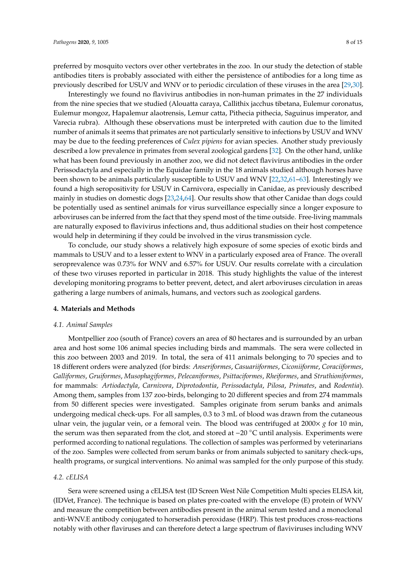preferred by mosquito vectors over other vertebrates in the zoo. In our study the detection of stable antibodies titers is probably associated with either the persistence of antibodies for a long time as previously described for USUV and WNV or to periodic circulation of these viruses in the area [29,30].

Interestingly we found no flavivirus antibodies in non-human primates in the 27 individuals from the nine species that we studied (Alouatta caraya, Callithix jacchus tibetana, Eulemur coronatus, Eulemur mongoz, Hapalemur alaotrensis, Lemur catta, Pithecia pithecia, Saguinus imperator, and Varecia rubra). Although these observations must be interpreted with caution due to the limited number of animals it seems that primates are not particularly sensitive to infections by USUV and WNV may be due to the feeding preferences of *Culex pipiens* for avian species. Another study previously described a low prevalence in primates from several zoological gardens [32]. On the other hand, unlike what has been found previously in another zoo, we did not detect flavivirus antibodies in the order Perissodactyla and especially in the Equidae family in the 18 animals studied although horses have been shown to be animals particularly susceptible to USUV and WNV [22,32,61–63]. Interestingly we found a high seropositivity for USUV in Carnivora, especially in Canidae, as previously described mainly in studies on domestic dogs [23,24,64]. Our results show that other Canidae than dogs could be potentially used as sentinel animals for virus surveillance especially since a longer exposure to arboviruses can be inferred from the fact that they spend most of the time outside. Free-living mammals are naturally exposed to flavivirus infections and, thus additional studies on their host competence would help in determining if they could be involved in the virus transmission cycle.

To conclude, our study shows a relatively high exposure of some species of exotic birds and mammals to USUV and to a lesser extent to WNV in a particularly exposed area of France. The overall seroprevalence was 0.73% for WNV and 6.57% for USUV. Our results correlate with a circulation of these two viruses reported in particular in 2018. This study highlights the value of the interest developing monitoring programs to better prevent, detect, and alert arboviruses circulation in areas gathering a large numbers of animals, humans, and vectors such as zoological gardens.

#### **4. Materials and Methods**

#### *4.1. Animal Samples*

Montpellier zoo (south of France) covers an area of 80 hectares and is surrounded by an urban area and host some 106 animal species including birds and mammals. The sera were collected in this zoo between 2003 and 2019. In total, the sera of 411 animals belonging to 70 species and to 18 different orders were analyzed (for birds: *Anseriformes*, *Casuariiformes*, *Ciconiiforme*, *Coraciiformes*, *Galliformes*, *Gruiformes*, *Musophagiformes*, *Pelecaniformes*, *Psittaciformes*, *Rheiformes*, and *Struthioniformes*, for mammals: *Artiodactyla*, *Carnivora*, *Diprotodontia*, *Perissodactyla*, *Pilosa*, *Primates*, and *Rodentia*). Among them, samples from 137 zoo-birds, belonging to 20 different species and from 274 mammals from 50 different species were investigated. Samples originate from serum banks and animals undergoing medical check-ups. For all samples, 0.3 to 3 mL of blood was drawn from the cutaneous ulnar vein, the jugular vein, or a femoral vein. The blood was centrifuged at 2000× *g* for 10 min, the serum was then separated from the clot, and stored at −20 ◦C until analysis. Experiments were performed according to national regulations. The collection of samples was performed by veterinarians of the zoo. Samples were collected from serum banks or from animals subjected to sanitary check-ups, health programs, or surgical interventions. No animal was sampled for the only purpose of this study.

### *4.2. cELISA*

Sera were screened using a cELISA test (ID Screen West Nile Competition Multi species ELISA kit, (IDVet, France). The technique is based on plates pre-coated with the envelope (E) protein of WNV and measure the competition between antibodies present in the animal serum tested and a monoclonal anti-WNV.E antibody conjugated to horseradish peroxidase (HRP). This test produces cross-reactions notably with other flaviruses and can therefore detect a large spectrum of flaviviruses including WNV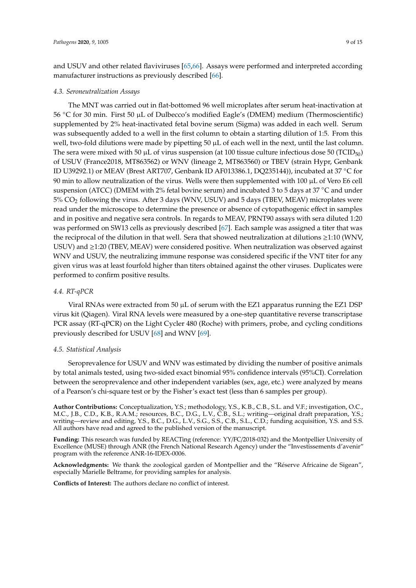and USUV and other related flaviviruses [65,66]. Assays were performed and interpreted according manufacturer instructions as previously described [66].

#### *4.3. Seroneutralization Assays*

The MNT was carried out in flat-bottomed 96 well microplates after serum heat-inactivation at 56 ◦C for 30 min. First 50 µL of Dulbecco's modified Eagle's (DMEM) medium (Thermoscientific) supplemented by 2% heat-inactivated fetal bovine serum (Sigma) was added in each well. Serum was subsequently added to a well in the first column to obtain a starting dilution of 1:5. From this well, two-fold dilutions were made by pipetting  $50 \mu$ L of each well in the next, until the last column. The sera were mixed with 50  $\mu$ L of virus suspension (at 100 tissue culture infectious dose 50 (TCID<sub>50</sub>) of USUV (France2018, MT863562) or WNV (lineage 2, MT863560) or TBEV (strain Hypr, Genbank ID U39292.1) or MEAV (Brest ART707, Genbank ID AF013386.1, DQ235144)), incubated at 37 ◦C for 90 min to allow neutralization of the virus. Wells were then supplemented with 100 µL of Vero E6 cell suspension (ATCC) (DMEM with 2% fetal bovine serum) and incubated 3 to 5 days at 37 ◦C and under 5% CO<sup>2</sup> following the virus. After 3 days (WNV, USUV) and 5 days (TBEV, MEAV) microplates were read under the microscope to determine the presence or absence of cytopathogenic effect in samples and in positive and negative sera controls. In regards to MEAV, PRNT90 assays with sera diluted 1:20 was performed on SW13 cells as previously described [67]. Each sample was assigned a titer that was the reciprocal of the dilution in that well. Sera that showed neutralization at dilutions ≥1:10 (WNV, USUV) and ≥1:20 (TBEV, MEAV) were considered positive. When neutralization was observed against WNV and USUV, the neutralizing immune response was considered specific if the VNT titer for any given virus was at least fourfold higher than titers obtained against the other viruses. Duplicates were performed to confirm positive results.

#### *4.4. RT-qPCR*

Viral RNAs were extracted from 50  $\mu$ L of serum with the EZ1 apparatus running the EZ1 DSP virus kit (Qiagen). Viral RNA levels were measured by a one-step quantitative reverse transcriptase PCR assay (RT-qPCR) on the Light Cycler 480 (Roche) with primers, probe, and cycling conditions previously described for USUV [68] and WNV [69].

#### *4.5. Statistical Analysis*

Seroprevalence for USUV and WNV was estimated by dividing the number of positive animals by total animals tested, using two-sided exact binomial 95% confidence intervals (95%CI). Correlation between the seroprevalence and other independent variables (sex, age, etc.) were analyzed by means of a Pearson's chi-square test or by the Fisher's exact test (less than 6 samples per group).

**Author Contributions:** Conceptualization, Y.S.; methodology, Y.S., K.B., C.B., S.L. and V.F.; investigation, O.C., M.C., J.B., C.D., K.B., R.A.M.; resources, B.C., D.G., L.V., C.B., S.L.; writing—original draft preparation, Y.S.; writing—review and editing, Y.S., B.C., D.G., L.V., S.G., S.S., C.B., S.L., C.D.; funding acquisition, Y.S. and S.S. All authors have read and agreed to the published version of the manuscript.

**Funding:** This research was funded by REACTing (reference: YY/FC/2018-032) and the Montpellier University of Excellence (MUSE) through ANR (the French National Research Agency) under the "Investissements d'avenir" program with the reference ANR-16-IDEX-0006.

**Acknowledgments:** We thank the zoological garden of Montpellier and the "Réserve Africaine de Sigean", especially Marielle Beltrame, for providing samples for analysis.

**Conflicts of Interest:** The authors declare no conflict of interest.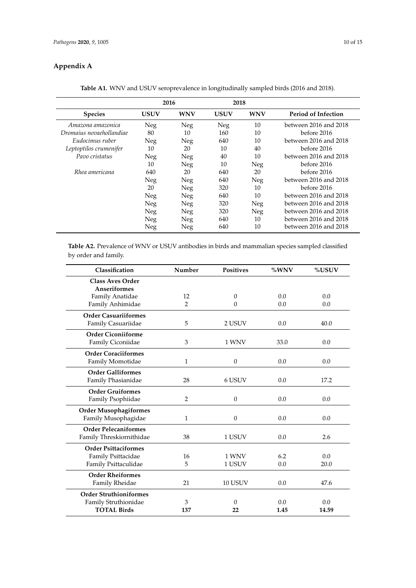### **Appendix A**

|                          | 2016       |            | 2018        |            |                       |
|--------------------------|------------|------------|-------------|------------|-----------------------|
| <b>Species</b>           | USUV       | <b>WNV</b> | <b>USUV</b> | <b>WNV</b> | Period of Infection   |
| Amazona amazonica        | Neg        | Neg        | Neg         | 10         | between 2016 and 2018 |
| Dromaius novaehollandiae | 80         | 10         | 160         | 10         | before 2016           |
| Eudocimus ruber          | <b>Neg</b> | Neg        | 640         | 10         | between 2016 and 2018 |
| Leptoptilos crumenifer   | 10         | 20         | 10          | 40         | before 2016           |
| Pavo cristatus           | Neg        | Neg        | 40          | 10         | between 2016 and 2018 |
|                          | 10         | Neg        | 10          | Neg        | before 2016           |
| Rhea americana           | 640        | 20         | 640         | 20         | before 2016           |
|                          | Neg        | Neg        | 640         | Neg        | between 2016 and 2018 |
|                          | 20         | Neg        | 320         | 10         | before 2016           |
|                          | Neg        | Neg        | 640         | 10         | between 2016 and 2018 |
|                          | Neg        | Neg        | 320         | Neg        | between 2016 and 2018 |
|                          | Neg        | Neg        | 320         | Neg        | between 2016 and 2018 |
|                          | Neg        | Neg        | 640         | 10         | between 2016 and 2018 |
|                          | Neg        | Neg        | 640         | 10         | between 2016 and 2018 |

**Table A1.** WNV and USUV seroprevalence in longitudinally sampled birds (2016 and 2018).

**Table A2.** Prevalence of WNV or USUV antibodies in birds and mammalian species sampled classified by order and family.

| Classification                | Number         | <b>Positives</b> | %WNV | %USUV |
|-------------------------------|----------------|------------------|------|-------|
| <b>Class Aves Order</b>       |                |                  |      |       |
| <b>Anseriformes</b>           |                |                  |      |       |
| Family Anatidae               | 12             | $\mathbf{0}$     | 0.0  | 0.0   |
| Family Anhimidae              | 2              | $\theta$         | 0.0  | 0.0   |
| <b>Order Casuariiformes</b>   |                |                  |      |       |
| Family Casuariidae            | 5              | 2 USUV           | 0.0  | 40.0  |
| <b>Order Ciconiiforme</b>     |                |                  |      |       |
| Family Ciconiidae             | 3              | 1 WNV            | 33.0 | 0.0   |
| <b>Order Coraciiformes</b>    |                |                  |      |       |
| Family Momotidae              | $\mathbf{1}$   | $\boldsymbol{0}$ | 0.0  | 0.0   |
| <b>Order Galliformes</b>      |                |                  |      |       |
| Family Phasianidae            | 28             | 6 USUV           | 0.0  | 17.2  |
| <b>Order Gruiformes</b>       |                |                  |      |       |
| Family Psophiidae             | $\overline{2}$ | $\mathbf{0}$     | 0.0  | 0.0   |
| <b>Order Musophagiformes</b>  |                |                  |      |       |
| Family Musophagidae           | $\mathbf{1}$   | $\mathbf{0}$     | 0.0  | 0.0   |
| <b>Order Pelecaniformes</b>   |                |                  |      |       |
| Family Threskiornithidae      | 38             | 1 USUV           | 0.0  | 2.6   |
| <b>Order Psittaciformes</b>   |                |                  |      |       |
| Family Psittacidae            | 16             | 1 WNV            | 6.2  | 0.0   |
| Family Psittaculidae          | 5              | 1 USUV           | 0.0  | 20.0  |
| <b>Order Rheiformes</b>       |                |                  |      |       |
| Family Rheidae                | 21             | 10 USUV          | 0.0  | 47.6  |
| <b>Order Struthioniformes</b> |                |                  |      |       |
| Family Struthionidae          | 3              | $\Omega$         | 0.0  | 0.0   |
| <b>TOTAL Birds</b>            | 137            | 22               | 1.45 | 14.59 |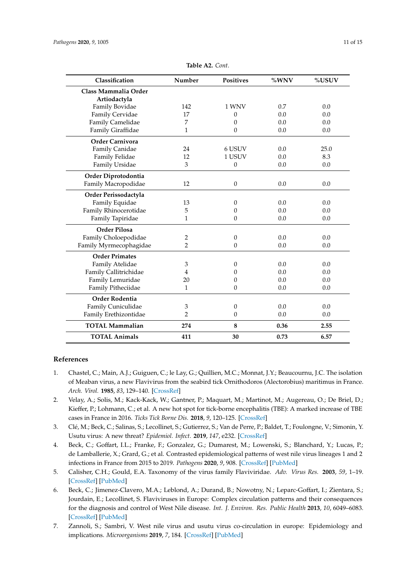| Classification         | Number         | <b>Positives</b> | %WNV | %USUV |
|------------------------|----------------|------------------|------|-------|
| Class Mammalia Order   |                |                  |      |       |
| Artiodactyla           |                |                  |      |       |
| Family Bovidae         | 142            | 1 WNV            | 0.7  | 0.0   |
| Family Cervidae        | 17             | 0                | 0.0  | 0.0   |
| Family Camelidae       | 7              | $\Omega$         | 0.0  | 0.0   |
| Family Giraffidae      | $\mathbf{1}$   | $\mathbf{0}$     | 0.0  | 0.0   |
| <b>Order Carnivora</b> |                |                  |      |       |
| Family Canidae         | 24             | 6 USUV           | 0.0  | 25.0  |
| Family Felidae         | 12             | 1 USUV           | 0.0  | 8.3   |
| Family Ursidae         | 3              | $\mathbf{0}$     | 0.0  | 0.0   |
| Order Diprotodontia    |                |                  |      |       |
| Family Macropodidae    | 12             | $\boldsymbol{0}$ | 0.0  | 0.0   |
| Order Perissodactyla   |                |                  |      |       |
| Family Equidae         | 13             | $\theta$         | 0.0  | 0.0   |
| Family Rhinocerotidae  | 5              | 0                | 0.0  | 0.0   |
| Family Tapiridae       | 1              | $\mathbf{0}$     | 0.0  | 0.0   |
| <b>Order Pilosa</b>    |                |                  |      |       |
| Family Choloepodidae   | 2              | 0                | 0.0  | 0.0   |
| Family Myrmecophagidae | $\overline{2}$ | $\theta$         | 0.0  | 0.0   |
| <b>Order Primates</b>  |                |                  |      |       |
| Family Atelidae        | 3              | 0                | 0.0  | 0.0   |
| Family Callitrichidae  | 4              | 0                | 0.0  | 0.0   |
| Family Lemuridae       | 20             | 0                | 0.0  | 0.0   |
| Family Pitheciidae     | 1              | $\theta$         | 0.0  | 0.0   |
| Order Rodentia         |                |                  |      |       |
| Family Cuniculidae     | 3              | $\mathbf{0}$     | 0.0  | 0.0   |
| Family Erethizontidae  | 2              | $\theta$         | 0.0  | 0.0   |
| <b>TOTAL Mammalian</b> | 274            | 8                | 0.36 | 2.55  |
| <b>TOTAL Animals</b>   | 411            | 30               | 0.73 | 6.57  |

**Table A2.** *Cont*.

#### **References**

- 1. Chastel, C.; Main, A.J.; Guiguen, C.; le Lay, G.; Quillien, M.C.; Monnat, J.Y.; Beaucournu, J.C. The isolation of Meaban virus, a new Flavivirus from the seabird tick Ornithodoros (Alectorobius) maritimus in France. *Arch. Virol.* **1985**, *83*, 129–140. [\[CrossRef\]](http://dx.doi.org/10.1007/BF01309911)
- 2. Velay, A.; Solis, M.; Kack-Kack, W.; Gantner, P.; Maquart, M.; Martinot, M.; Augereau, O.; De Briel, D.; Kieffer, P.; Lohmann, C.; et al. A new hot spot for tick-borne encephalitis (TBE): A marked increase of TBE cases in France in 2016. *Ticks Tick Borne Dis.* **2018**, *9*, 120–125. [\[CrossRef\]](http://dx.doi.org/10.1016/j.ttbdis.2017.09.015)
- 3. Clé, M.; Beck, C.; Salinas, S.; Lecollinet, S.; Gutierrez, S.; Van de Perre, P.; Baldet, T.; Foulongne, V.; Simonin, Y. Usutu virus: A new threat? *Epidemiol. Infect.* **2019**, *147*, e232. [\[CrossRef\]](http://dx.doi.org/10.1017/S0950268819001213)
- 4. Beck, C.; Goffart, I.L.; Franke, F.; Gonzalez, G.; Dumarest, M.; Lowenski, S.; Blanchard, Y.; Lucas, P.; de Lamballerie, X.; Grard, G.; et al. Contrasted epidemiological patterns of west nile virus lineages 1 and 2 infections in France from 2015 to 2019. *Pathogens* **2020**, *9*, 908. [\[CrossRef\]](http://dx.doi.org/10.3390/pathogens9110908) [\[PubMed\]](http://www.ncbi.nlm.nih.gov/pubmed/33143300)
- 5. Calisher, C.H.; Gould, E.A. Taxonomy of the virus family Flaviviridae. *Adv. Virus Res.* **2003**, *59*, 1–19. [\[CrossRef\]](http://dx.doi.org/10.1016/S0065-3527(03)59001-7) [\[PubMed\]](http://www.ncbi.nlm.nih.gov/pubmed/14696325)
- 6. Beck, C.; Jimenez-Clavero, M.A.; Leblond, A.; Durand, B.; Nowotny, N.; Leparc-Goffart, I.; Zientara, S.; Jourdain, E.; Lecollinet, S. Flaviviruses in Europe: Complex circulation patterns and their consequences for the diagnosis and control of West Nile disease. *Int. J. Environ. Res. Public Health* **2013**, *10*, 6049–6083. [\[CrossRef\]](http://dx.doi.org/10.3390/ijerph10116049) [\[PubMed\]](http://www.ncbi.nlm.nih.gov/pubmed/24225644)
- 7. Zannoli, S.; Sambri, V. West nile virus and usutu virus co-circulation in europe: Epidemiology and implications. *Microorganisms* **2019**, *7*, 184. [\[CrossRef\]](http://dx.doi.org/10.3390/microorganisms7070184) [\[PubMed\]](http://www.ncbi.nlm.nih.gov/pubmed/31248051)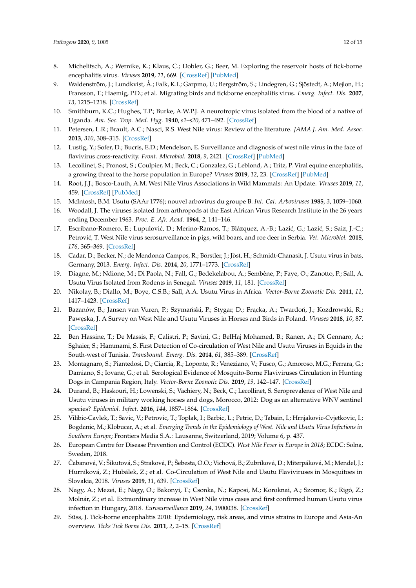- 8. Michelitsch, A.; Wernike, K.; Klaus, C.; Dobler, G.; Beer, M. Exploring the reservoir hosts of tick-borne encephalitis virus. *Viruses* **2019**, *11*, 669. [\[CrossRef\]](http://dx.doi.org/10.3390/v11070669) [\[PubMed\]](http://www.ncbi.nlm.nih.gov/pubmed/31336624)
- 9. Waldenström, J.; Lundkvist, Å.; Falk, K.I.; Garpmo, U.; Bergström, S.; Lindegren, G.; Sjöstedt, A.; Mejlon, H.; Fransson, T.; Haemig, P.D.; et al. Migrating birds and tickborne encephalitis virus. *Emerg. Infect. Dis.* **2007**, *13*, 1215–1218. [\[CrossRef\]](http://dx.doi.org/10.3201/eid1308.061416)
- 10. Smithburn, K.C.; Hughes, T.P.; Burke, A.W.P.J. A neurotropic virus isolated from the blood of a native of Uganda. *Am. Soc. Trop. Med. Hyg.* **1940**, *s1–s20*, 471–492. [\[CrossRef\]](http://dx.doi.org/10.4269/ajtmh.1940.s1-20.471)
- 11. Petersen, L.R.; Brault, A.C.; Nasci, R.S. West Nile virus: Review of the literature. *JAMA J. Am. Med. Assoc.* **2013**, *310*, 308–315. [\[CrossRef\]](http://dx.doi.org/10.1001/jama.2013.8042)
- 12. Lustig, Y.; Sofer, D.; Bucris, E.D.; Mendelson, E. Surveillance and diagnosis of west nile virus in the face of flavivirus cross-reactivity. *Front. Microbiol.* **2018**, *9*, 2421. [\[CrossRef\]](http://dx.doi.org/10.3389/fmicb.2018.02421) [\[PubMed\]](http://www.ncbi.nlm.nih.gov/pubmed/30369916)
- 13. Lecollinet, S.; Pronost, S.; Coulpier, M.; Beck, C.; Gonzalez, G.; Leblond, A.; Tritz, P. Viral equine encephalitis, a growing threat to the horse population in Europe? *Viruses* **2019**, *12*, 23. [\[CrossRef\]](http://dx.doi.org/10.3390/v12010023) [\[PubMed\]](http://www.ncbi.nlm.nih.gov/pubmed/31878129)
- 14. Root, J.J.; Bosco-Lauth, A.M. West Nile Virus Associations in Wild Mammals: An Update. *Viruses* **2019**, *11*, 459. [\[CrossRef\]](http://dx.doi.org/10.3390/v11050459) [\[PubMed\]](http://www.ncbi.nlm.nih.gov/pubmed/31117189)
- 15. McIntosh, B.M. Usutu (SAAr 1776); nouvel arbovirus du groupe B. *Int. Cat. Arboviruses* **1985**, *3*, 1059–1060.
- 16. Woodall, J. The viruses isolated from arthropods at the East African Virus Research Institute in the 26 years ending December 1963. *Proc. E. Afr. Acad.* **1964**, *2*, 141–146.
- 17. Escribano-Romero, E.; Lupulović, D.; Merino-Ramos, T.; Blázquez, A.-B.; Lazić, G.; Lazić, S.; Saiz, J.-C.; Petrović, T. West Nile virus serosurveillance in pigs, wild boars, and roe deer in Serbia. *Vet. Microbiol.* 2015, *176*, 365–369. [\[CrossRef\]](http://dx.doi.org/10.1016/j.vetmic.2015.02.005)
- 18. Cadar, D.; Becker, N.; de Mendonca Campos, R.; Börstler, J.; Jöst, H.; Schmidt-Chanasit, J. Usutu virus in bats, Germany, 2013. *Emerg. Infect. Dis.* **2014**, *20*, 1771–1773. [\[CrossRef\]](http://dx.doi.org/10.3201/eid2010.140909)
- 19. Diagne, M.; Ndione, M.; Di Paola, N.; Fall, G.; Bedekelabou, A.; Sembène, P.; Faye, O.; Zanotto, P.; Sall, A. Usutu Virus Isolated from Rodents in Senegal. *Viruses* **2019**, *11*, 181. [\[CrossRef\]](http://dx.doi.org/10.3390/v11020181)
- 20. Nikolay, B.; Diallo, M.; Boye, C.S.B.; Sall, A.A. Usutu Virus in Africa. *Vector-Borne Zoonotic Dis.* **2011**, *11*, 1417–1423. [\[CrossRef\]](http://dx.doi.org/10.1089/vbz.2011.0631)
- 21. Bażanów, B.; Jansen van Vuren, P.; Szymański, P.; Stygar, D.; Frącka, A.; Twardoń, J.; Kozdrowski, R.; Paw ˛eska, J. A Survey on West Nile and Usutu Viruses in Horses and Birds in Poland. *Viruses* **2018**, *10*, 87. [\[CrossRef\]](http://dx.doi.org/10.3390/v10020087)
- 22. Ben Hassine, T.; De Massis, F.; Calistri, P.; Savini, G.; BelHaj Mohamed, B.; Ranen, A.; Di Gennaro, A.; Sghaier, S.; Hammami, S. First Detection of Co-circulation of West Nile and Usutu Viruses in Equids in the South-west of Tunisia. *Transbound. Emerg. Dis.* **2014**, *61*, 385–389. [\[CrossRef\]](http://dx.doi.org/10.1111/tbed.12259)
- 23. Montagnaro, S.; Piantedosi, D.; Ciarcia, R.; Loponte, R.; Veneziano, V.; Fusco, G.; Amoroso, M.G.; Ferrara, G.; Damiano, S.; Iovane, G.; et al. Serological Evidence of Mosquito-Borne Flaviviruses Circulation in Hunting Dogs in Campania Region, Italy. *Vector-Borne Zoonotic Dis.* **2019**, *19*, 142–147. [\[CrossRef\]](http://dx.doi.org/10.1089/vbz.2018.2337)
- 24. Durand, B.; Haskouri, H.; Lowenski, S.; Vachiery, N.; Beck, C.; Lecollinet, S. Seroprevalence of West Nile and Usutu viruses in military working horses and dogs, Morocco, 2012: Dog as an alternative WNV sentinel species? *Epidemiol. Infect.* **2016**, *144*, 1857–1864. [\[CrossRef\]](http://dx.doi.org/10.1017/S095026881600011X)
- 25. Vilibic-Cavlek, T.; Savic, V.; Petrovic, T.; Toplak, I.; Barbic, L.; Petric, D.; Tabain, I.; Hrnjakovic-Cvjetkovic, I.; Bogdanic, M.; Klobucar, A.; et al. *Emerging Trends in the Epidemiology of West. Nile and Usutu Virus Infections in Southern Europe*; Frontiers Media S.A.: Lausanne, Switzerland, 2019; Volume 6, p. 437.
- 26. European Centre for Disease Prevention and Control (ECDC). *West Nile Fever in Europe in 2018*; ECDC: Solna, Sweden, 2018.
- 27. Čabanová, V.; Šikutová, S.; Straková, P.; Šebesta, O.O.; Vichová, B.; Zubríková, D.; Miterpáková, M.; Mendel, J.; Hurníková, Z.; Hubálek, Z.; et al. Co-Circulation of West Nile and Usutu Flaviviruses in Mosquitoes in Slovakia, 2018. *Viruses* **2019**, *11*, 639. [\[CrossRef\]](http://dx.doi.org/10.3390/v11070639)
- 28. Nagy, A.; Mezei, E.; Nagy, O.; Bakonyi, T.; Csonka, N.; Kaposi, M.; Koroknai, A.; Szomor, K.; Rigó, Z.; Molnár, Z.; et al. Extraordinary increase in West Nile virus cases and first confirmed human Usutu virus infection in Hungary, 2018. *Eurosurveillance* **2019**, *24*, 1900038. [\[CrossRef\]](http://dx.doi.org/10.2807/1560-7917.ES.2019.24.28.1900038)
- 29. Süss, J. Tick-borne encephalitis 2010: Epidemiology, risk areas, and virus strains in Europe and Asia-An overview. *Ticks Tick Borne Dis.* **2011**, *2*, 2–15. [\[CrossRef\]](http://dx.doi.org/10.1016/j.ttbdis.2010.10.007)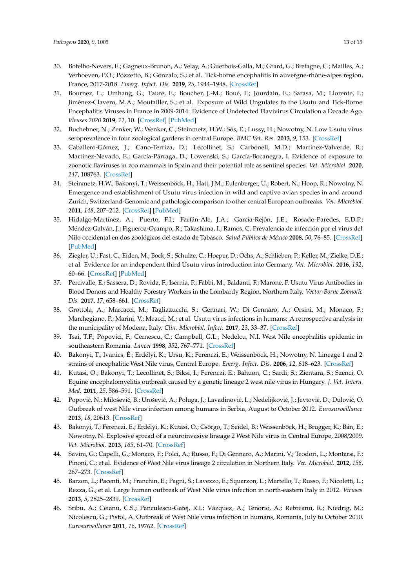- 30. Botelho-Nevers, E.; Gagneux-Brunon, A.; Velay, A.; Guerbois-Galla, M.; Grard, G.; Bretagne, C.; Mailles, A.; Verhoeven, P.O.; Pozzetto, B.; Gonzalo, S.; et al. Tick-borne encephalitis in auvergne-rhône-alpes region, France, 2017-2018. *Emerg. Infect. Dis.* **2019**, *25*, 1944–1948. [\[CrossRef\]](http://dx.doi.org/10.3201/eid2510.181923)
- 31. Bournez, L.; Umhang, G.; Faure, E.; Boucher, J.-M.; Boué, F.; Jourdain, E.; Sarasa, M.; Llorente, F.; Jiménez-Clavero, M.A.; Moutailler, S.; et al. Exposure of Wild Ungulates to the Usutu and Tick-Borne Encephalitis Viruses in France in 2009-2014: Evidence of Undetected Flavivirus Circulation a Decade Ago. *Viruses 2020* **2019**, *12*, 10. [\[CrossRef\]](http://dx.doi.org/10.3390/v12010010) [\[PubMed\]](http://www.ncbi.nlm.nih.gov/pubmed/31861683)
- 32. Buchebner, N.; Zenker, W.; Wenker, C.; Steinmetz, H.W.; Sós, E.; Lussy, H.; Nowotny, N. Low Usutu virus seroprevalence in four zoological gardens in central Europe. *BMC Vet. Res.* **2013**, *9*, 153. [\[CrossRef\]](http://dx.doi.org/10.1186/1746-6148-9-153)
- 33. Caballero-Gómez, J.; Cano-Terriza, D.; Lecollinet, S.; Carbonell, M.D.; Martínez-Valverde, R.; Martínez-Nevado, E.; García-Párraga, D.; Lowenski, S.; García-Bocanegra, I. Evidence of exposure to zoonotic flaviruses in zoo mammals in Spain and their potential role as sentinel species. *Vet. Microbiol.* **2020**, *247*, 108763. [\[CrossRef\]](http://dx.doi.org/10.1016/j.vetmic.2020.108763)
- 34. Steinmetz, H.W.; Bakonyi, T.; Weissenböck, H.; Hatt, J.M.; Eulenberger, U.; Robert, N.; Hoop, R.; Nowotny, N. Emergence and establishment of Usutu virus infection in wild and captive avian species in and around Zurich, Switzerland-Genomic and pathologic comparison to other central European outbreaks. *Vet. Microbiol.* **2011**, *148*, 207–212. [\[CrossRef\]](http://dx.doi.org/10.1016/j.vetmic.2010.09.018) [\[PubMed\]](http://www.ncbi.nlm.nih.gov/pubmed/20980109)
- 35. Hidalgo-Martínez, A.; Puerto, F.I.; Farfán-Ale, J.A.; García-Rejón, J.E.; Rosado-Paredes, E.D.P.; Méndez-Galván, J.; Figueroa-Ocampo, R.; Takashima, I.; Ramos, C. Prevalencia de infección por el virus del Nilo occidental en dos zoológicos del estado de Tabasco. *Salud Pública de México* **2008**, *50*, 76–85. [\[CrossRef\]](http://dx.doi.org/10.1590/S0036-36342008000100014) [\[PubMed\]](http://www.ncbi.nlm.nih.gov/pubmed/18297185)
- 36. Ziegler, U.; Fast, C.; Eiden, M.; Bock, S.; Schulze, C.; Hoeper, D.; Ochs, A.; Schlieben, P.; Keller, M.; Zielke, D.E.; et al. Evidence for an independent third Usutu virus introduction into Germany. *Vet. Microbiol.* **2016**, *192*, 60–66. [\[CrossRef\]](http://dx.doi.org/10.1016/j.vetmic.2016.06.007) [\[PubMed\]](http://www.ncbi.nlm.nih.gov/pubmed/27527765)
- 37. Percivalle, E.; Sassera, D.; Rovida, F.; Isernia, P.; Fabbi, M.; Baldanti, F.; Marone, P. Usutu Virus Antibodies in Blood Donors and Healthy Forestry Workers in the Lombardy Region, Northern Italy. *Vector-Borne Zoonotic Dis.* **2017**, *17*, 658–661. [\[CrossRef\]](http://dx.doi.org/10.1089/vbz.2017.2126)
- 38. Grottola, A.; Marcacci, M.; Tagliazucchi, S.; Gennari, W.; Di Gennaro, A.; Orsini, M.; Monaco, F.; Marchegiano, P.; Marini, V.; Meacci, M.; et al. Usutu virus infections in humans: A retrospective analysis in the municipality of Modena, Italy. *Clin. Microbiol. Infect.* **2017**, *23*, 33–37. [\[CrossRef\]](http://dx.doi.org/10.1016/j.cmi.2016.09.019)
- 39. Tsai, T.F.; Popovici, F.; Cernescu, C.; Campbell, G.L.; Nedelcu, N.I. West Nile encephalitis epidemic in southeastern Romania. *Lancet* **1998**, *352*, 767–771. [\[CrossRef\]](http://dx.doi.org/10.1016/S0140-6736(98)03538-7)
- 40. Bakonyi, T.; Ivanics, É.; Erdélyi, K.; Ursu, K.; Ferenczi, E.; Weissenböck, H.; Nowotny, N. Lineage 1 and 2 strains of encephalitic West Nile virus, Central Europe. *Emerg. Infect. Dis.* **2006**, *12*, 618–623. [\[CrossRef\]](http://dx.doi.org/10.3201/eid1204.051379)
- 41. Kutasi, O.; Bakonyi, T.; Lecollinet, S.; Biksi, I.; Ferenczi, E.; Bahuon, C.; Sardi, S.; Zientara, S.; Szenci, O. Equine encephalomyelitis outbreak caused by a genetic lineage 2 west nile virus in Hungary. *J. Vet. Intern. Med.* **2011**, *25*, 586–591. [\[CrossRef\]](http://dx.doi.org/10.1111/j.1939-1676.2011.0715.x)
- 42. Popović, N.; Milošević, B.; Urošević, A.; Poluga, J.; Lavadinović, L.; Nedelijković, J.; Jevtović, D.; Dulović, O. Outbreak of west Nile virus infection among humans in Serbia, August to October 2012. *Eurosurveillance* **2013**, *18*, 20613. [\[CrossRef\]](http://dx.doi.org/10.2807/1560-7917.ES2013.18.43.20613)
- 43. Bakonyi, T.; Ferenczi, E.; Erdélyi, K.; Kutasi, O.; Csörgo, T.; Seidel, B.; Weissenböck, H.; Brugger, K.; Bán, E.; Nowotny, N. Explosive spread of a neuroinvasive lineage 2 West Nile virus in Central Europe, 2008/2009. *Vet. Microbiol.* **2013**, *165*, 61–70. [\[CrossRef\]](http://dx.doi.org/10.1016/j.vetmic.2013.03.005)
- 44. Savini, G.; Capelli, G.; Monaco, F.; Polci, A.; Russo, F.; Di Gennaro, A.; Marini, V.; Teodori, L.; Montarsi, F.; Pinoni, C.; et al. Evidence of West Nile virus lineage 2 circulation in Northern Italy. *Vet. Microbiol.* **2012**, *158*, 267–273. [\[CrossRef\]](http://dx.doi.org/10.1016/j.vetmic.2012.02.018)
- 45. Barzon, L.; Pacenti, M.; Franchin, E.; Pagni, S.; Lavezzo, E.; Squarzon, L.; Martello, T.; Russo, F.; Nicoletti, L.; Rezza, G.; et al. Large human outbreak of West Nile virus infection in north-eastern Italy in 2012. *Viruses* **2013**, *5*, 2825–2839. [\[CrossRef\]](http://dx.doi.org/10.3390/v5112825)
- 46. Sribu, A.; Ceianu, C.S.; Panculescu-Gatej, R.I.; Vázquez, A.; Tenorio, A.; Rebreanu, R.; Niedrig, M.; Nicolescu, G.; Pistol, A. Outbreak of West Nile virus infection in humans, Romania, July to October 2010. *Eurosurveillance* **2011**, *16*, 19762. [\[CrossRef\]](http://dx.doi.org/10.2807/ese.16.02.19762-en)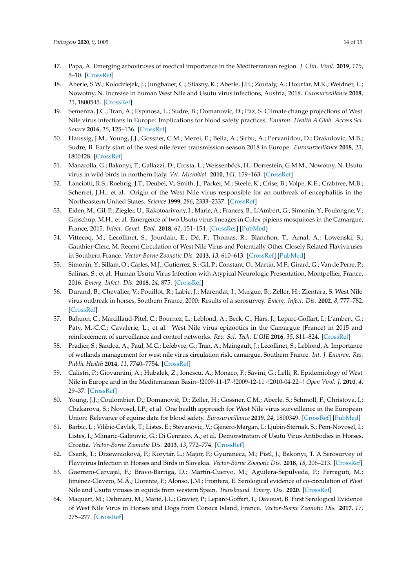- 47. Papa, A. Emerging arboviruses of medical importance in the Mediterranean region. *J. Clin. Virol.* **2019**, *115*, 5–10. [\[CrossRef\]](http://dx.doi.org/10.1016/j.jcv.2019.03.007)
- 48. Aberle, S.W.; Kolodziejek, J.; Jungbauer, C.; Stiasny, K.; Aberle, J.H.; Zoufaly, A.; Hourfar, M.K.; Weidner, L.; Nowotny, N. Increase in human West Nile and Usutu virus infections, Austria, 2018. *Eurosurveillance* **2018**, *23*, 1800545. [\[CrossRef\]](http://dx.doi.org/10.2807/1560-7917.ES.2018.23.43.1800545)
- 49. Semenza, J.C.; Tran, A.; Espinosa, L.; Sudre, B.; Domanovic, D.; Paz, S. Climate change projections of West Nile virus infections in Europe: Implications for blood safety practices. *Environ. Health A Glob. Access Sci. Source* **2016**, *15*, 125–136. [\[CrossRef\]](http://dx.doi.org/10.1186/s12940-016-0105-4)
- 50. Haussig, J.M.; Young, J.J.; Gossner, C.M.; Mezei, E.; Bella, A.; Sirbu, A.; Pervanidou, D.; Drakulovic, M.B.; Sudre, B. Early start of the west nile fever transmission season 2018 in Europe. *Eurosurveillance* **2018**, *23*, 1800428. [\[CrossRef\]](http://dx.doi.org/10.2807/1560-7917.ES.2018.23.32.1800428)
- 51. Manarolla, G.; Bakonyi, T.; Gallazzi, D.; Crosta, L.; Weissenböck, H.; Dorrestein, G.M.M.; Nowotny, N. Usutu virus in wild birds in northern Italy. *Vet. Microbiol.* **2010**, *141*, 159–163. [\[CrossRef\]](http://dx.doi.org/10.1016/j.vetmic.2009.07.036)
- 52. Lanciotti, R.S.; Roehrig, J.T.; Deubel, V.; Smith, J.; Parker, M.; Steele, K.; Crise, B.; Volpe, K.E.; Crabtree, M.B.; Scherret, J.H.; et al. Origin of the West Nile virus responsible for an outbreak of encephalitis in the Northeastern United States. *Science* **1999**, *286*, 2333–2337. [\[CrossRef\]](http://dx.doi.org/10.1126/science.286.5448.2333)
- 53. Eiden, M.; Gil, P.; Ziegler, U.; Rakotoarivony, I.; Marie, A.; Frances, B.; L'Ambert, G.; Simonin, Y.; Foulongne, V.; Groschup, M.H.; et al. Emergence of two Usutu virus lineages in Culex pipiens mosquitoes in the Camargue, France, 2015. *Infect. Genet. Evol.* **2018**, *61*, 151–154. [\[CrossRef\]](http://dx.doi.org/10.1016/j.meegid.2018.03.020) [\[PubMed\]](http://www.ncbi.nlm.nih.gov/pubmed/29592838)
- 54. Vittecoq, M.; Lecollinet, S.; Jourdain, E.; Dé, F.; Thomas, R.; Blanchon, T.; Arnal, A.; Lowenski, S.; Gauthier-Clerc, M. Recent Circulation of West Nile Virus and Potentially Other Closely Related Flaviviruses in Southern France. *Vector-Borne Zoonotic Dis.* **2013**, *13*, 610–613. [\[CrossRef\]](http://dx.doi.org/10.1089/vbz.2012.1166) [\[PubMed\]](http://www.ncbi.nlm.nih.gov/pubmed/23930977)
- 55. Simonin, Y.; Sillam, O.; Carles, M.J.; Gutierrez, S.; Gil, P.; Constant, O.; Martin, M.F.; Girard, G.; Van de Perre, P.; Salinas, S.; et al. Human Usutu Virus Infection with Atypical Neurologic Presentation, Montpellier, France, 2016. *Emerg. Infect. Dis.* **2018**, *24*, 875. [\[CrossRef\]](http://dx.doi.org/10.3201/eid2405.171122)
- 56. Durand, B.; Chevalier, V.; Pouillot, R.; Labie, J.; Marendat, I.; Murgue, B.; Zeller, H.; Zientara, S. West Nile virus outbreak in horses, Southern France, 2000: Results of a serosurvey. *Emerg. Infect. Dis.* **2002**, *8*, 777–782. [\[CrossRef\]](http://dx.doi.org/10.3201/eid0808.010486)
- 57. Bahuon, C.; Marcillaud-Pitel, C.; Bournez, L.; Leblond, A.; Beck, C.; Hars, J.; Leparc-Goffart, I.; L'ambert, G.; Paty, M.-C.C.; Cavalerie, L.; et al. West Nile virus epizootics in the Camargue (France) in 2015 and reinforcement of surveillance and control networks. *Rev. Sci. Tech. L'OIE* **2016**, *35*, 811–824. [\[CrossRef\]](http://dx.doi.org/10.20506/rst.35.3.2571)
- 58. Pradier, S.; Sandoz, A.; Paul, M.C.; Lefebvre, G.; Tran, A.; Maingault, J.; Lecollinet, S.; Leblond, A. Importance of wetlands management for west nile virus circulation risk, camargue, Southern France. *Int. J. Environ. Res. Public Health* **2014**, *11*, 7740–7754. [\[CrossRef\]](http://dx.doi.org/10.3390/ijerph110807740)
- 59. Calistri, P.; Giovannini, A.; Hubalek, Z.; Ionescu, A.; Monaco, F.; Savini, G.; Lelli, R. Epidemiology of West Nile in Europe and in the Mediterranean Basin~!2009-11-17~!2009-12-11~!2010-04-22~! *Open Virol. J.* **2010**, *4*, 29–37. [\[CrossRef\]](http://dx.doi.org/10.2174/1874357901004020029)
- 60. Young, J.J.; Coulombier, D.; Domanović, D.; Zeller, H.; Gossner, C.M.; Aberle, S.; Schmoll, F.; Christova, I.; Chakarova, S.; Novosel, I.P.; et al. One health approach for West Nile virus surveillance in the European Union: Relevance of equine data for blood safety. *Eurosurveillance* **2019**, *24*, 1800349. [\[CrossRef\]](http://dx.doi.org/10.2807/1560-7917.ES.2019.24.16.1800349) [\[PubMed\]](http://www.ncbi.nlm.nih.gov/pubmed/31014416)
- 61. Barbic, L.; Vilibic-Cavlek, T.; Listes, E.; Stevanovic, V.; Gjenero-Margan, I.; Ljubin-Sternak, S.; Pem-Novosel, I.; Listes, I.; Mlinaric-Galinovic, G.; Di Gennaro, A.; et al. Demonstration of Usutu Virus Antibodies in Horses, Croatia. *Vector-Borne Zoonotic Dis.* **2013**, *13*, 772–774. [\[CrossRef\]](http://dx.doi.org/10.1089/vbz.2012.1236)
- 62. Csank, T.; Drzewnioková, P.; Korytár, L.; Major, P.; Gyuranecz, M.; Pistl, J.; Bakonyi, T. A Serosurvey of Flavivirus Infection in Horses and Birds in Slovakia. *Vector-Borne Zoonotic Dis.* **2018**, *18*, 206–213. [\[CrossRef\]](http://dx.doi.org/10.1089/vbz.2017.2216)
- 63. Guerrero-Carvajal, F.; Bravo-Barriga, D.; Martín-Cuervo, M.; Aguilera-Sepúlveda, P.; Ferraguti, M.; Jiménez-Clavero, M.Á.; Llorente, F.; Alonso, J.M.; Frontera, E. Serological evidence of co-circulation of West Nile and Usutu viruses in equids from western Spain. *Transbound. Emerg. Dis.* **2020**. [\[CrossRef\]](http://dx.doi.org/10.1111/tbed.13810)
- 64. Maquart, M.; Dahmani, M.; Marié, J.L.; Gravier, P.; Leparc-Goffart, I.; Davoust, B. First Serological Evidence of West Nile Virus in Horses and Dogs from Corsica Island, France. *Vector-Borne Zoonotic Dis.* **2017**, *17*, 275–277. [\[CrossRef\]](http://dx.doi.org/10.1089/vbz.2016.2024)